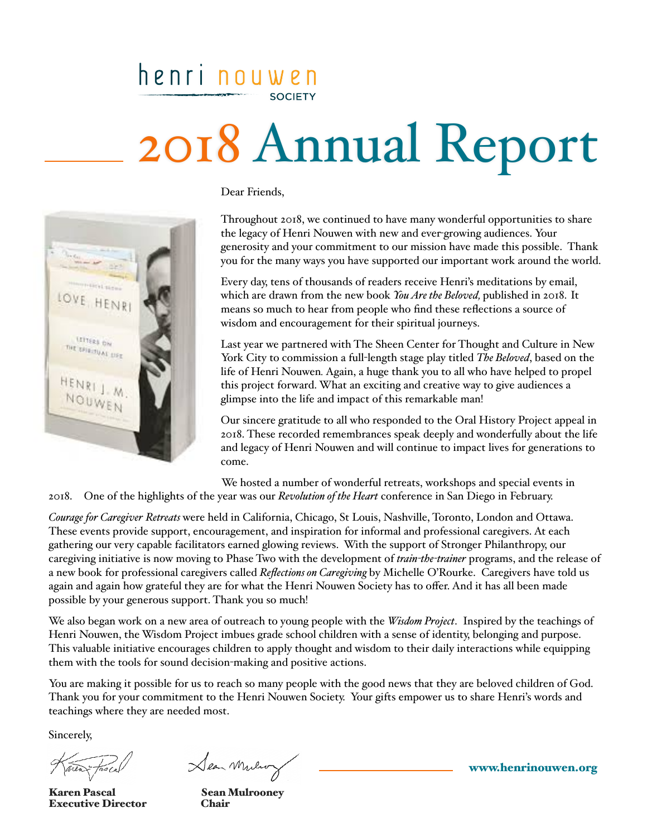## henri nouwen **SOCIETY**

# 2018 Annual Report



Dear Friends,

Throughout 2018, we continued to have many wonderful opportunities to share the legacy of Henri Nouwen with new and ever-growing audiences. Your generosity and your commitment to our mission have made this possible. Thank you for the many ways you have supported our important work around the world.

Every day, tens of thousands of readers receive Henri's meditations by email, which are drawn from the new book *You Are the Beloved,* published in 2018. It means so much to hear from people who find these reflections a source of wisdom and encouragement for their spiritual journeys.

Last year we partnered with The Sheen Center for Thought and Culture in New York City to commission a full-length stage play titled *The Beloved*, based on the life of Henri Nouwen*.* Again, a huge thank you to all who have helped to propel this project forward. What an exciting and creative way to give audiences a glimpse into the life and impact of this remarkable man!

Our sincere gratitude to all who responded to the Oral History Project appeal in 2018. These recorded remembrances speak deeply and wonderfully about the life and legacy of Henri Nouwen and will continue to impact lives for generations to come.

 We hosted a number of wonderful retreats, workshops and special events in 2018. One of the highlights of the year was our *Revolution of the Heart* conference in San Diego in February.

*Courage for Caregiver Retreats* were held in California, Chicago, St Louis, Nashville, Toronto, London and Ottawa. These events provide support, encouragement, and inspiration for informal and professional caregivers. At each gathering our very capable facilitators earned glowing reviews. With the support of Stronger Philanthropy, our caregiving initiative is now moving to Phase Two with the development of *train-the-trainer* programs, and the release of a new book for professional caregivers called *Reflections on Caregiving* by Michelle O'Rourke. Caregivers have told us again and again how grateful they are for what the Henri Nouwen Society has to offer. And it has all been made possible by your generous support. Thank you so much!

We also began work on a new area of outreach to young people with the *Wisdom Project*. Inspired by the teachings of Henri Nouwen, the Wisdom Project imbues grade school children with a sense of identity, belonging and purpose. This valuable initiative encourages children to apply thought and wisdom to their daily interactions while equipping them with the tools for sound decision-making and positive actions.

You are making it possible for us to reach so many people with the good news that they are beloved children of God. Thank you for your commitment to the Henri Nouwen Society. Your gifts empower us to share Henri's words and teachings where they are needed most.

Sincerely,

area

Karen Pascal Sean Mulrooney Executive Director Chair

Sean Mulio

[www.henrinouwen.org](http://www.henrinouwen.org)